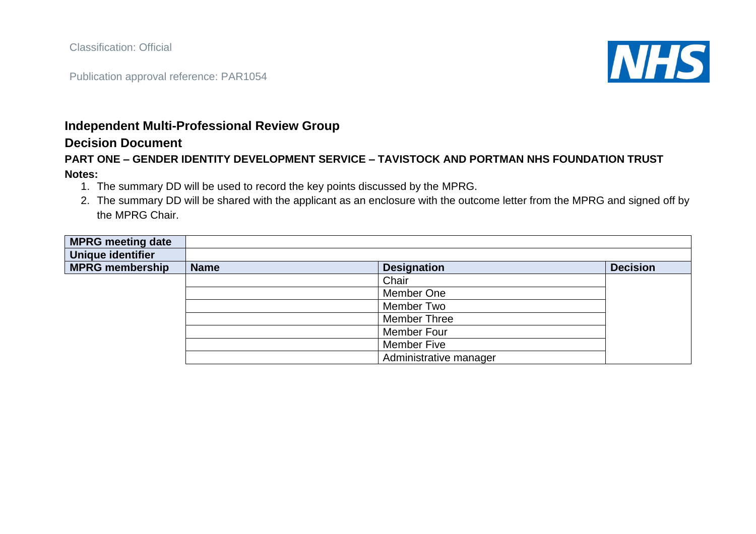Classification: Official

Publication approval reference: PAR1054



## **Independent Multi-Professional Review Group**

## **Decision Document**

## **PART ONE – GENDER IDENTITY DEVELOPMENT SERVICE – TAVISTOCK AND PORTMAN NHS FOUNDATION TRUST Notes:**

- 1. The summary DD will be used to record the key points discussed by the MPRG.
- 2. The summary DD will be shared with the applicant as an enclosure with the outcome letter from the MPRG and signed off by the MPRG Chair.

| <b>MPRG meeting date</b> |             |                        |                 |
|--------------------------|-------------|------------------------|-----------------|
| Unique identifier        |             |                        |                 |
| <b>MPRG membership</b>   | <b>Name</b> | <b>Designation</b>     | <b>Decision</b> |
|                          |             | Chair                  |                 |
|                          |             | Member One             |                 |
|                          |             | Member Two             |                 |
|                          |             | <b>Member Three</b>    |                 |
|                          |             | Member Four            |                 |
|                          |             | <b>Member Five</b>     |                 |
|                          |             | Administrative manager |                 |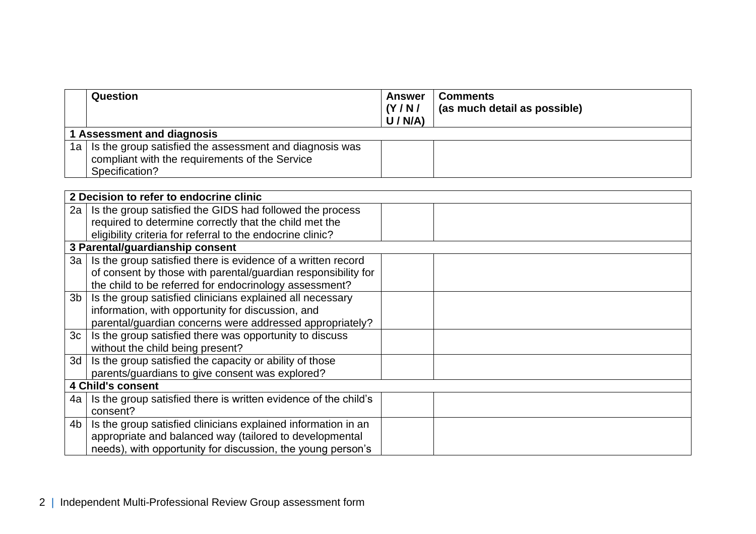| <b>Question</b>                                                                                                                  | Answer<br>(Y/N)<br>U/N/A | <b>Comments</b><br>(as much detail as possible) |  |
|----------------------------------------------------------------------------------------------------------------------------------|--------------------------|-------------------------------------------------|--|
| 1 Assessment and diagnosis                                                                                                       |                          |                                                 |  |
| 1a   Is the group satisfied the assessment and diagnosis was<br>compliant with the requirements of the Service<br>Specification? |                          |                                                 |  |

|                          | 2 Decision to refer to endocrine clinic                         |  |  |
|--------------------------|-----------------------------------------------------------------|--|--|
| 2a <sub>1</sub>          | Is the group satisfied the GIDS had followed the process        |  |  |
|                          | required to determine correctly that the child met the          |  |  |
|                          | eligibility criteria for referral to the endocrine clinic?      |  |  |
|                          | 3 Parental/guardianship consent                                 |  |  |
| 3a <sub>1</sub>          | Is the group satisfied there is evidence of a written record    |  |  |
|                          | of consent by those with parental/guardian responsibility for   |  |  |
|                          | the child to be referred for endocrinology assessment?          |  |  |
| 3b                       | Is the group satisfied clinicians explained all necessary       |  |  |
|                          | information, with opportunity for discussion, and               |  |  |
|                          | parental/guardian concerns were addressed appropriately?        |  |  |
| 3c                       | Is the group satisfied there was opportunity to discuss         |  |  |
|                          | without the child being present?                                |  |  |
| 3d                       | Is the group satisfied the capacity or ability of those         |  |  |
|                          | parents/guardians to give consent was explored?                 |  |  |
| <b>4 Child's consent</b> |                                                                 |  |  |
| 4a l                     | Is the group satisfied there is written evidence of the child's |  |  |
|                          | consent?                                                        |  |  |
| 4b l                     | Is the group satisfied clinicians explained information in an   |  |  |
|                          | appropriate and balanced way (tailored to developmental         |  |  |
|                          | needs), with opportunity for discussion, the young person's     |  |  |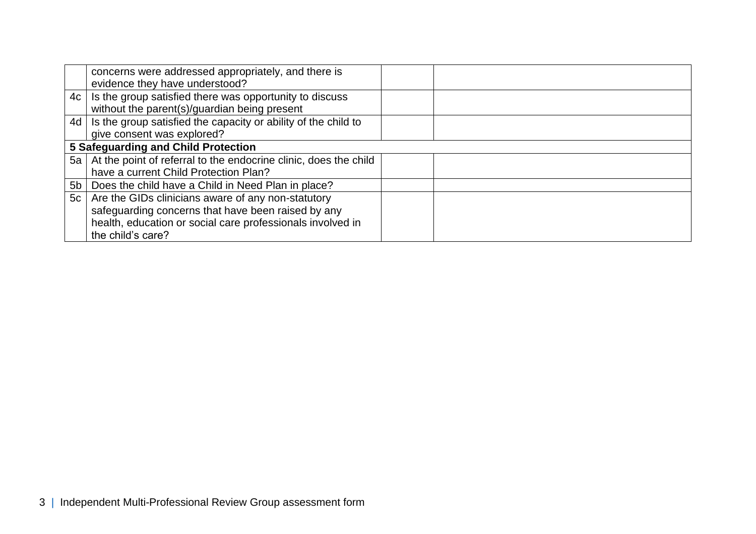|    | concerns were addressed appropriately, and there is                   |  |  |
|----|-----------------------------------------------------------------------|--|--|
|    | evidence they have understood?                                        |  |  |
|    | $4c$   Is the group satisfied there was opportunity to discuss        |  |  |
|    | without the parent(s)/guardian being present                          |  |  |
|    | 4d   Is the group satisfied the capacity or ability of the child to   |  |  |
|    | give consent was explored?                                            |  |  |
|    | 5 Safeguarding and Child Protection                                   |  |  |
|    | 5a   At the point of referral to the endocrine clinic, does the child |  |  |
|    | have a current Child Protection Plan?                                 |  |  |
|    | 5b   Does the child have a Child in Need Plan in place?               |  |  |
| 5c | Are the GIDs clinicians aware of any non-statutory                    |  |  |
|    | safeguarding concerns that have been raised by any                    |  |  |
|    | health, education or social care professionals involved in            |  |  |
|    | the child's care?                                                     |  |  |